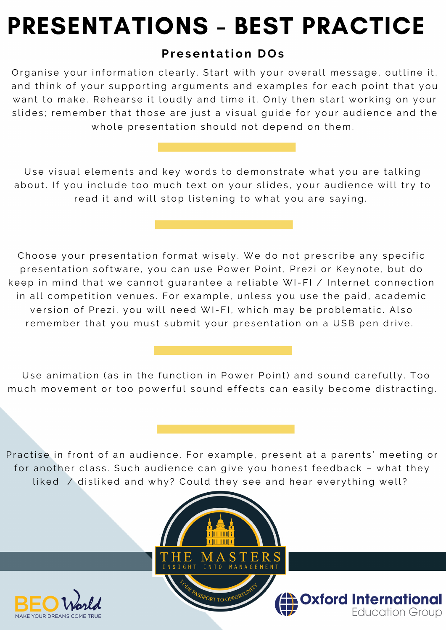## PRESENTATIONS - BEST PRACTICE

## **Pr esent a tion DOs**

Organise your information clearly. Start with your overall message, outline it, and think of your supporting arguments and examples for each point that you want to make. Rehearse it loudly and time it. Only then start working on your slides; remember that those are just a visual quide for your audience and the whole presentation should not depend on them.

Use visual elements and key words to demonstrate what you are talking about. If you include too much text on your slides, your audience will try to read it and will stop listening to what you are saying.

Choose your presentation format wisely. We do not prescribe any specific presentation software, you can use Power Point, Prezi or Keynote, but do keep in mind that we cannot quarantee a reliable WI-FI / Internet connection in all competition venues. For example, unless you use the paid, academic version of Prezi, you will need WI-FI, which may be problematic. Also remember that you must submit your presentation on a USB pen drive.

Use animation (as in the function in Power Point) and sound carefully. Too much movement or too powerful sound effects can easily become distracting.

Practise in front of an audience. For example, present at a parents' meeting or for another class. Such audience can give you honest feedback – what they liked / disliked and why? Could they see and hear everything well?





**Dxford International**<br>Education Group